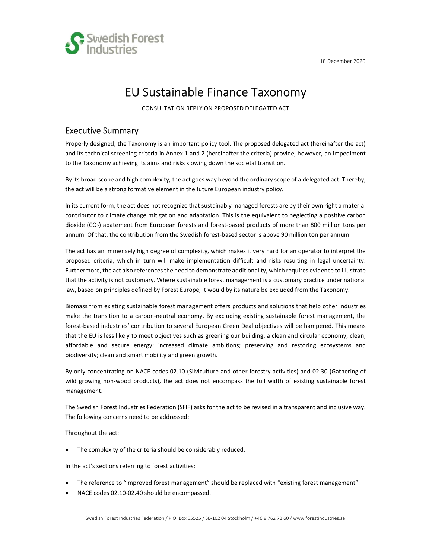



# EU Sustainable Finance Taxonomy

CONSULTATION REPLY ON PROPOSED DELEGATED ACT

#### Executive Summary

Properly designed, the Taxonomy is an important policy tool. The proposed delegated act (hereinafter the act) and its technical screening criteria in Annex 1 and 2 (hereinafter the criteria) provide, however, an impediment to the Taxonomy achieving its aims and risks slowing down the societal transition.

By its broad scope and high complexity, the act goes way beyond the ordinary scope of a delegated act. Thereby, the act will be a strong formative element in the future European industry policy.

In its current form, the act does not recognize that sustainably managed forests are by their own right a material contributor to climate change mitigation and adaptation. This is the equivalent to neglecting a positive carbon dioxide (CO2) abatement from European forests and forest-based products of more than 800 million tons per annum. Of that, the contribution from the Swedish forest-based sector is above 90 million ton per annum

The act has an immensely high degree of complexity, which makes it very hard for an operator to interpret the proposed criteria, which in turn will make implementation difficult and risks resulting in legal uncertainty. Furthermore, the act also references the need to demonstrate additionality, which requires evidence to illustrate that the activity is not customary. Where sustainable forest management is a customary practice under national law, based on principles defined by Forest Europe, it would by its nature be excluded from the Taxonomy.

Biomass from existing sustainable forest management offers products and solutions that help other industries make the transition to a carbon-neutral economy. By excluding existing sustainable forest management, the forest-based industries' contribution to several European Green Deal objectives will be hampered. This means that the EU is less likely to meet objectives such as greening our building; a clean and circular economy; clean, affordable and secure energy; increased climate ambitions; preserving and restoring ecosystems and biodiversity; clean and smart mobility and green growth.

By only concentrating on NACE codes 02.10 (Silviculture and other forestry activities) and 02.30 (Gathering of wild growing non-wood products), the act does not encompass the full width of existing sustainable forest management.

The Swedish Forest Industries Federation (SFIF) asks for the act to be revised in a transparent and inclusive way. The following concerns need to be addressed:

Throughout the act:

The complexity of the criteria should be considerably reduced.

In the act's sections referring to forest activities:

- The reference to "improved forest management" should be replaced with "existing forest management".
- NACE codes 02.10-02.40 should be encompassed.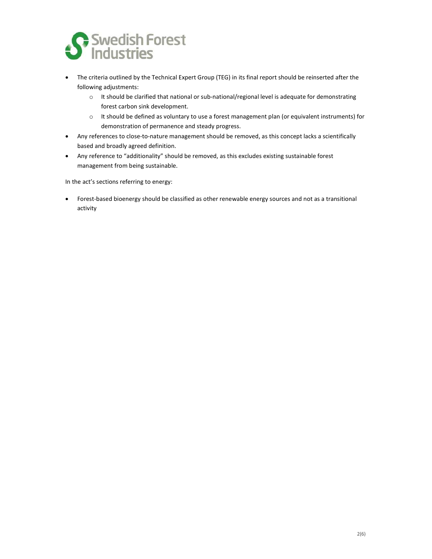

- The criteria outlined by the Technical Expert Group (TEG) in its final report should be reinserted after the following adjustments:
	- o It should be clarified that national or sub-national/regional level is adequate for demonstrating forest carbon sink development.
	- o It should be defined as voluntary to use a forest management plan (or equivalent instruments) for demonstration of permanence and steady progress.
- Any references to close-to-nature management should be removed, as this concept lacks a scientifically based and broadly agreed definition.
- Any reference to "additionality" should be removed, as this excludes existing sustainable forest management from being sustainable.

In the act's sections referring to energy:

 Forest-based bioenergy should be classified as other renewable energy sources and not as a transitional activity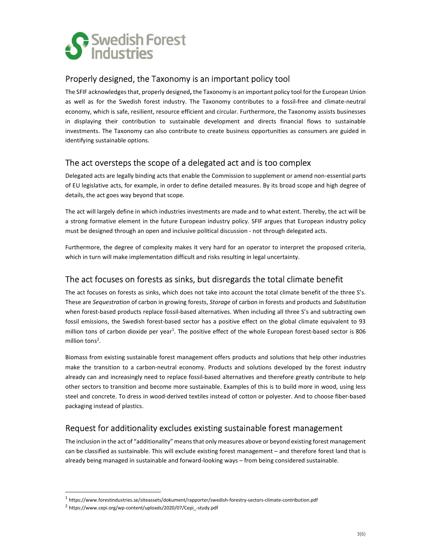

### Properly designed, the Taxonomy is an important policy tool

The SFIF acknowledges that, properly designed, the Taxonomy is an important policy tool for the European Union as well as for the Swedish forest industry. The Taxonomy contributes to a fossil-free and climate-neutral economy, which is safe, resilient, resource efficient and circular. Furthermore, the Taxonomy assists businesses in displaying their contribution to sustainable development and directs financial flows to sustainable investments. The Taxonomy can also contribute to create business opportunities as consumers are guided in identifying sustainable options.

# The act oversteps the scope of a delegated act and is too complex

Delegated acts are legally binding acts that enable the Commission to supplement or amend non‑essential parts of EU legislative acts, for example, in order to define detailed measures. By its broad scope and high degree of details, the act goes way beyond that scope.

The act will largely define in which industries investments are made and to what extent. Thereby, the act will be a strong formative element in the future European industry policy. SFIF argues that European industry policy must be designed through an open and inclusive political discussion - not through delegated acts.

Furthermore, the degree of complexity makes it very hard for an operator to interpret the proposed criteria, which in turn will make implementation difficult and risks resulting in legal uncertainty.

### The act focuses on forests as sinks, but disregards the total climate benefit

The act focuses on forests as sinks, which does not take into account the total climate benefit of the three S's. These are Sequestration of carbon in growing forests, Storage of carbon in forests and products and Substitution when forest-based products replace fossil-based alternatives. When including all three S's and subtracting own fossil emissions, the Swedish forest-based sector has a positive effect on the global climate equivalent to 93 million tons of carbon dioxide per year<sup>1</sup>. The positive effect of the whole European forest-based sector is 806 million tons<sup>2</sup>.

Biomass from existing sustainable forest management offers products and solutions that help other industries make the transition to a carbon-neutral economy. Products and solutions developed by the forest industry already can and increasingly need to replace fossil-based alternatives and therefore greatly contribute to help other sectors to transition and become more sustainable. Examples of this is to build more in wood, using less steel and concrete. To dress in wood-derived textiles instead of cotton or polyester. And to choose fiber-based packaging instead of plastics.

# Request for additionality excludes existing sustainable forest management

The inclusion in the act of "additionality" means that only measures above or beyond existing forest management can be classified as sustainable. This will exclude existing forest management – and therefore forest land that is already being managed in sustainable and forward-looking ways – from being considered sustainable.

<sup>1</sup> https://www.forestindustries.se/siteassets/dokument/rapporter/swedish-forestry-sectors-climate-contribution.pdf

<sup>2</sup> https://www.cepi.org/wp-content/uploads/2020/07/Cepi\_-study.pdf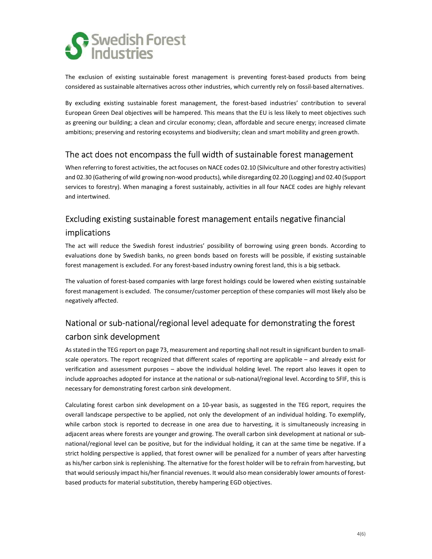

The exclusion of existing sustainable forest management is preventing forest-based products from being considered as sustainable alternatives across other industries, which currently rely on fossil-based alternatives.

By excluding existing sustainable forest management, the forest-based industries' contribution to several European Green Deal objectives will be hampered. This means that the EU is less likely to meet objectives such as greening our building; a clean and circular economy; clean, affordable and secure energy; increased climate ambitions; preserving and restoring ecosystems and biodiversity; clean and smart mobility and green growth.

## The act does not encompass the full width of sustainable forest management

When referring to forest activities, the act focuses on NACE codes 02.10 (Silviculture and other forestry activities) and 02.30 (Gathering of wild growing non-wood products), while disregarding 02.20 (Logging) and 02.40 (Support services to forestry). When managing a forest sustainably, activities in all four NACE codes are highly relevant and intertwined.

# Excluding existing sustainable forest management entails negative financial implications

The act will reduce the Swedish forest industries' possibility of borrowing using green bonds. According to evaluations done by Swedish banks, no green bonds based on forests will be possible, if existing sustainable forest management is excluded. For any forest-based industry owning forest land, this is a big setback.

The valuation of forest-based companies with large forest holdings could be lowered when existing sustainable forest management is excluded. The consumer/customer perception of these companies will most likely also be negatively affected.

# National or sub-national/regional level adequate for demonstrating the forest carbon sink development

As stated in the TEG report on page 73, measurement and reporting shall not result in significant burden to smallscale operators. The report recognized that different scales of reporting are applicable – and already exist for verification and assessment purposes – above the individual holding level. The report also leaves it open to include approaches adopted for instance at the national or sub-national/regional level. According to SFIF, this is necessary for demonstrating forest carbon sink development.

Calculating forest carbon sink development on a 10-year basis, as suggested in the TEG report, requires the overall landscape perspective to be applied, not only the development of an individual holding. To exemplify, while carbon stock is reported to decrease in one area due to harvesting, it is simultaneously increasing in adjacent areas where forests are younger and growing. The overall carbon sink development at national or subnational/regional level can be positive, but for the individual holding, it can at the same time be negative. If a strict holding perspective is applied, that forest owner will be penalized for a number of years after harvesting as his/her carbon sink is replenishing. The alternative for the forest holder will be to refrain from harvesting, but that would seriously impact his/her financial revenues. It would also mean considerably lower amounts of forestbased products for material substitution, thereby hampering EGD objectives.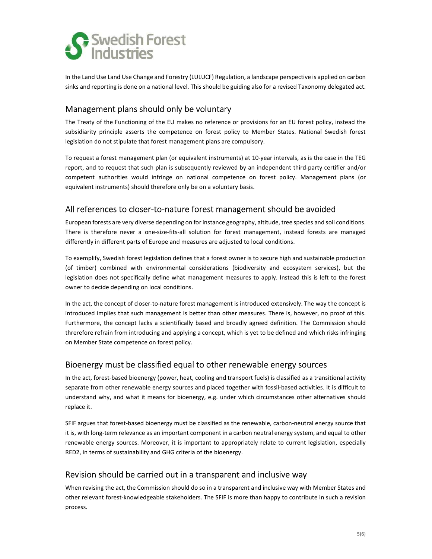

In the Land Use Land Use Change and Forestry (LULUCF) Regulation, a landscape perspective is applied on carbon sinks and reporting is done on a national level. This should be guiding also for a revised Taxonomy delegated act.

## Management plans should only be voluntary

The Treaty of the Functioning of the EU makes no reference or provisions for an EU forest policy, instead the subsidiarity principle asserts the competence on forest policy to Member States. National Swedish forest legislation do not stipulate that forest management plans are compulsory.

To request a forest management plan (or equivalent instruments) at 10-year intervals, as is the case in the TEG report, and to request that such plan is subsequently reviewed by an independent third-party certifier and/or competent authorities would infringe on national competence on forest policy. Management plans (or equivalent instruments) should therefore only be on a voluntary basis.

# All references to closer-to-nature forest management should be avoided

European forests are very diverse depending on for instance geography, altitude, tree species and soil conditions. There is therefore never a one-size-fits-all solution for forest management, instead forests are managed differently in different parts of Europe and measures are adjusted to local conditions.

To exemplify, Swedish forest legislation defines that a forest owner is to secure high and sustainable production (of timber) combined with environmental considerations (biodiversity and ecosystem services), but the legislation does not specifically define what management measures to apply. Instead this is left to the forest owner to decide depending on local conditions.

In the act, the concept of closer-to-nature forest management is introduced extensively. The way the concept is introduced implies that such management is better than other measures. There is, however, no proof of this. Furthermore, the concept lacks a scientifically based and broadly agreed definition. The Commission should threrefore refrain from introducing and applying a concept, which is yet to be defined and which risks infringing on Member State competence on forest policy.

### Bioenergy must be classified equal to other renewable energy sources

In the act, forest-based bioenergy (power, heat, cooling and transport fuels) is classified as a transitional activity separate from other renewable energy sources and placed together with fossil-based activities. It is difficult to understand why, and what it means for bioenergy, e.g. under which circumstances other alternatives should replace it.

SFIF argues that forest-based bioenergy must be classified as the renewable, carbon-neutral energy source that it is, with long-term relevance as an important component in a carbon neutral energy system, and equal to other renewable energy sources. Moreover, it is important to appropriately relate to current legislation, especially RED2, in terms of sustainability and GHG criteria of the bioenergy.

### Revision should be carried out in a transparent and inclusive way

When revising the act, the Commission should do so in a transparent and inclusive way with Member States and other relevant forest-knowledgeable stakeholders. The SFIF is more than happy to contribute in such a revision process.